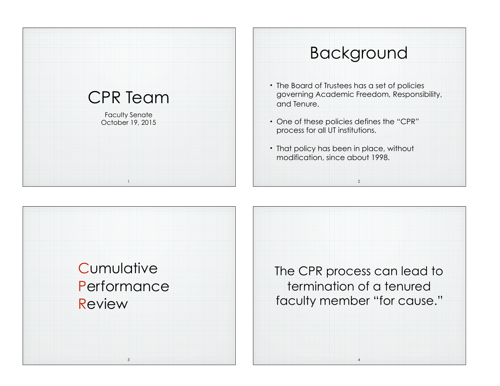



The CPR process can lead to termination of a tenured faculty member "for cause."

4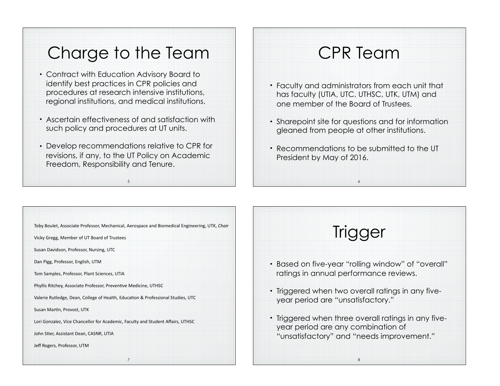## Charge to the Team

- Contract with Education Advisory Board to identify best practices in CPR policies and procedures at research intensive institutions, regional institutions, and medical institutions.
- Ascertain effectiveness of and satisfaction with such policy and procedures at UT units.
- Develop recommendations relative to CPR for revisions, if any, to the UT Policy on Academic Freedom, Responsibility and Tenure.

5

## CPR Team

- Faculty and administrators from each unit that has faculty (UTIA, UTC, UTHSC, UTK, UTM) and one member of the Board of Trustees.
- Sharepoint site for questions and for information gleaned from people at other institutions.
- Recommendations to be submitted to the UT President by May of 2016.

6

7 Toby Boulet, Associate Professor, Mechanical, Aerospace and Biomedical Engineering, UTK, *Chair* Vicky Gregg, Member of UT Board of Trustees Susan Davidson, Professor, Nursing, UTC Dan Pigg, Professor, English, UTM Tom Samples, Professor, Plant Sciences, UTIA Phyllis Ritchey, Associate Professor, Preventive Medicine, UTHSC Valerie Rutledge, Dean, College of Health, Education & Professional Studies, UTC Susan Martin, Provost, UTK Lori Gonzalez, Vice Chancellor for Academic, Faculty and Student Affairs, UTHSC John Stier, Assistant Dean, CASNR, UTIA Jeff Rogers, Professor, UTM

## **Trigger**

- Based on five-year "rolling window" of "overall" ratings in annual performance reviews.
- Triggered when two overall ratings in any fiveyear period are "unsatisfactory."
- Triggered when three overall ratings in any fiveyear period are any combination of "unsatisfactory" and "needs improvement."

8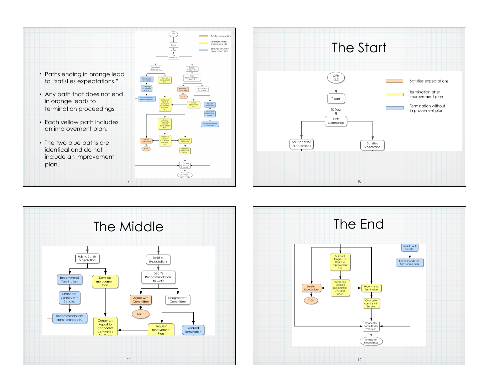